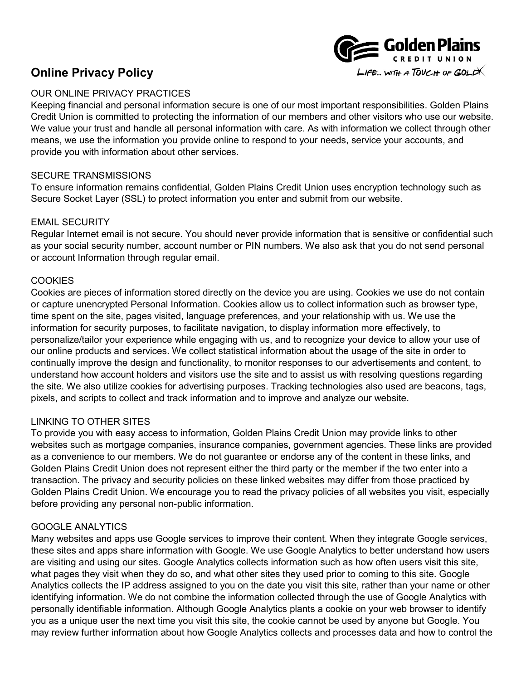

# **Online Privacy Policy**

## OUR ONLINE PRIVACY PRACTICES

Keeping financial and personal information secure is one of our most important responsibilities. Golden Plains Credit Union is committed to protecting the information of our members and other visitors who use our website. We value your trust and handle all personal information with care. As with information we collect through other means, we use the information you provide online to respond to your needs, service your accounts, and provide you with information about other services.

## SECURE TRANSMISSIONS

To ensure information remains confidential, Golden Plains Credit Union uses encryption technology such as Secure Socket Layer (SSL) to protect information you enter and submit from our website.

## EMAIL SECURITY

Regular Internet email is not secure. You should never provide information that is sensitive or confidential such as your social security number, account number or PIN numbers. We also ask that you do not send personal or account Information through regular email.

#### **COOKIES**

Cookies are pieces of information stored directly on the device you are using. Cookies we use do not contain or capture unencrypted Personal Information. Cookies allow us to collect information such as browser type, time spent on the site, pages visited, language preferences, and your relationship with us. We use the information for security purposes, to facilitate navigation, to display information more effectively, to personalize/tailor your experience while engaging with us, and to recognize your device to allow your use of our online products and services. We collect statistical information about the usage of the site in order to continually improve the design and functionality, to monitor responses to our advertisements and content, to understand how account holders and visitors use the site and to assist us with resolving questions regarding the site. We also utilize cookies for advertising purposes. Tracking technologies also used are beacons, tags, pixels, and scripts to collect and track information and to improve and analyze our website.

## LINKING TO OTHER SITES

To provide you with easy access to information, Golden Plains Credit Union may provide links to other websites such as mortgage companies, insurance companies, government agencies. These links are provided as a convenience to our members. We do not guarantee or endorse any of the content in these links, and Golden Plains Credit Union does not represent either the third party or the member if the two enter into a transaction. The privacy and security policies on these linked websites may differ from those practiced by Golden Plains Credit Union. We encourage you to read the privacy policies of all websites you visit, especially before providing any personal non-public information.

#### GOOGLE ANALYTICS

Many websites and apps use Google services to improve their content. When they integrate Google services, these sites and apps share information with Google. We use Google Analytics to better understand how users are visiting and using our sites. Google Analytics collects information such as how often users visit this site, what pages they visit when they do so, and what other sites they used prior to coming to this site. Google Analytics collects the IP address assigned to you on the date you visit this site, rather than your name or other identifying information. We do not combine the information collected through the use of Google Analytics with personally identifiable information. Although Google Analytics plants a cookie on your web browser to identify you as a unique user the next time you visit this site, the cookie cannot be used by anyone but Google. You may review further information about how Google Analytics collects and processes data and how to control the